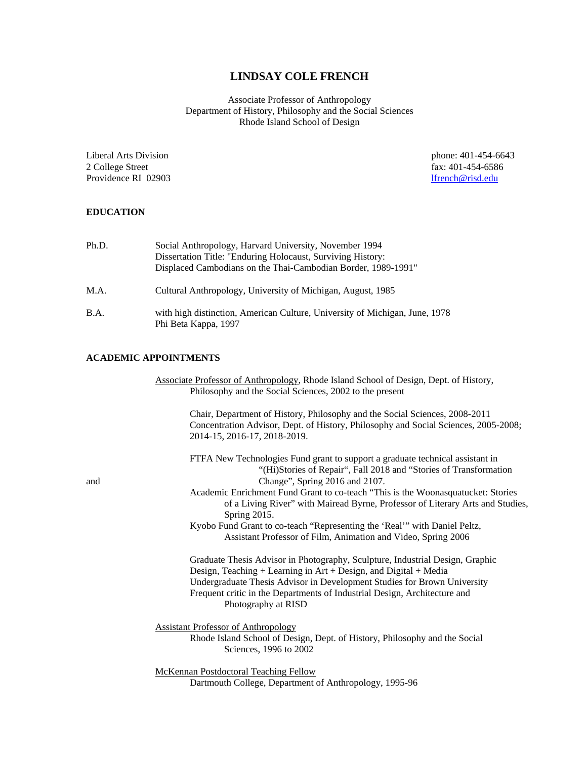# **LINDSAY COLE FRENCH**

Associate Professor of Anthropology Department of History, Philosophy and the Social Sciences Rhode Island School of Design

2 College Street fax: 401-454-6586<br>Providence RI 02903 fax: 401-454-6586 Providence RI 02903

Liberal Arts Division phone: 401-454-6643

## **EDUCATION**

| Ph.D. | Social Anthropology, Harvard University, November 1994<br>Dissertation Title: "Enduring Holocaust, Surviving History:<br>Displaced Cambodians on the Thai-Cambodian Border, 1989-1991" |
|-------|----------------------------------------------------------------------------------------------------------------------------------------------------------------------------------------|
| M.A.  | Cultural Anthropology, University of Michigan, August, 1985                                                                                                                            |
| B.A.  | with high distinction, American Culture, University of Michigan, June, 1978<br>Phi Beta Kappa, 1997                                                                                    |

## **ACADEMIC APPOINTMENTS**

|     | Associate Professor of Anthropology, Rhode Island School of Design, Dept. of History,<br>Philosophy and the Social Sciences, 2002 to the present                                                   |
|-----|----------------------------------------------------------------------------------------------------------------------------------------------------------------------------------------------------|
|     | Chair, Department of History, Philosophy and the Social Sciences, 2008-2011<br>Concentration Advisor, Dept. of History, Philosophy and Social Sciences, 2005-2008;<br>2014-15, 2016-17, 2018-2019. |
| and | FTFA New Technologies Fund grant to support a graduate technical assistant in<br>"(Hi)Stories of Repair", Fall 2018 and "Stories of Transformation<br>Change", Spring 2016 and 2107.               |
|     | Academic Enrichment Fund Grant to co-teach "This is the Woonasquatucket: Stories<br>of a Living River" with Mairead Byrne, Professor of Literary Arts and Studies,<br>Spring 2015.                 |
|     | Kyobo Fund Grant to co-teach "Representing the 'Real'" with Daniel Peltz,<br>Assistant Professor of Film, Animation and Video, Spring 2006                                                         |
|     | Graduate Thesis Advisor in Photography, Sculpture, Industrial Design, Graphic<br>Design, Teaching $+$ Learning in Art $+$ Design, and Digital $+$ Media                                            |
|     | Undergraduate Thesis Advisor in Development Studies for Brown University<br>Frequent critic in the Departments of Industrial Design, Architecture and<br>Photography at RISD                       |
|     | <b>Assistant Professor of Anthropology</b><br>Rhode Island School of Design, Dept. of History, Philosophy and the Social<br>Sciences, 1996 to 2002                                                 |
|     | <b>McKennan Postdoctoral Teaching Fellow</b><br>Dartmouth College, Department of Anthropology, 1995-96                                                                                             |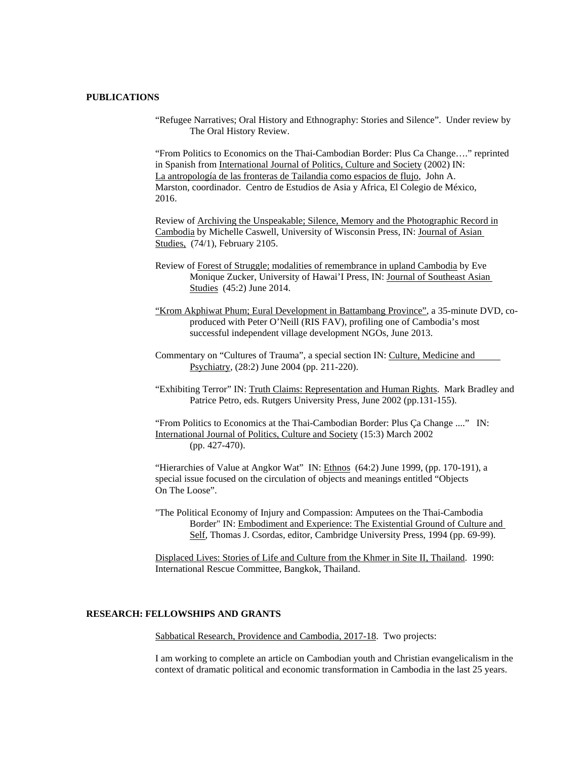### **PUBLICATIONS**

"Refugee Narratives; Oral History and Ethnography: Stories and Silence". Under review by The Oral History Review.

"From Politics to Economics on the Thai-Cambodian Border: Plus Ca Change…." reprinted in Spanish from International Journal of Politics, Culture and Society (2002) IN: La antropología de las fronteras de Tailandia como espacios de flujo, John A. Marston, coordinador. Centro de Estudios de Asia y Africa, El Colegio de México, 2016.

Review of Archiving the Unspeakable; Silence, Memory and the Photographic Record in Cambodia by Michelle Caswell, University of Wisconsin Press, IN: Journal of Asian Studies, (74/1), February 2105.

- Review of Forest of Struggle; modalities of remembrance in upland Cambodia by Eve Monique Zucker, University of Hawai'I Press, IN: Journal of Southeast Asian Studies (45:2) June 2014.
- "Krom Akphiwat Phum; Eural Development in Battambang Province", a 35-minute DVD, coproduced with Peter O'Neill (RIS FAV), profiling one of Cambodia's most successful independent village development NGOs, June 2013.
- Commentary on "Cultures of Trauma", a special section IN: Culture, Medicine and Psychiatry, (28:2) June 2004 (pp. 211-220).
- "Exhibiting Terror" IN: Truth Claims: Representation and Human Rights. Mark Bradley and Patrice Petro, eds. Rutgers University Press, June 2002 (pp.131-155).

"From Politics to Economics at the Thai-Cambodian Border: Plus Ça Change ...." IN: International Journal of Politics, Culture and Society (15:3) March 2002 (pp. 427-470).

"Hierarchies of Value at Angkor Wat" IN: Ethnos (64:2) June 1999, (pp. 170-191), a special issue focused on the circulation of objects and meanings entitled "Objects On The Loose".

"The Political Economy of Injury and Compassion: Amputees on the Thai-Cambodia Border" IN: Embodiment and Experience: The Existential Ground of Culture and Self, Thomas J. Csordas, editor, Cambridge University Press, 1994 (pp. 69-99).

Displaced Lives: Stories of Life and Culture from the Khmer in Site II, Thailand. 1990: International Rescue Committee, Bangkok, Thailand.

### **RESEARCH: FELLOWSHIPS AND GRANTS**

Sabbatical Research, Providence and Cambodia, 2017-18. Two projects:

I am working to complete an article on Cambodian youth and Christian evangelicalism in the context of dramatic political and economic transformation in Cambodia in the last 25 years.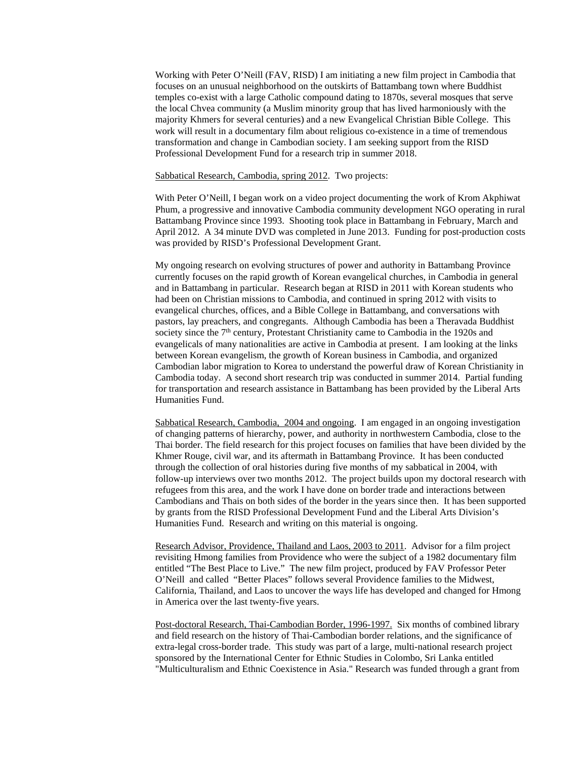Working with Peter O'Neill (FAV, RISD) I am initiating a new film project in Cambodia that focuses on an unusual neighborhood on the outskirts of Battambang town where Buddhist temples co-exist with a large Catholic compound dating to 1870s, several mosques that serve the local Chvea community (a Muslim minority group that has lived harmoniously with the majority Khmers for several centuries) and a new Evangelical Christian Bible College. This work will result in a documentary film about religious co-existence in a time of tremendous transformation and change in Cambodian society. I am seeking support from the RISD Professional Development Fund for a research trip in summer 2018.

#### Sabbatical Research, Cambodia, spring 2012. Two projects:

With Peter O'Neill, I began work on a video project documenting the work of Krom Akphiwat Phum, a progressive and innovative Cambodia community development NGO operating in rural Battambang Province since 1993. Shooting took place in Battambang in February, March and April 2012. A 34 minute DVD was completed in June 2013. Funding for post-production costs was provided by RISD's Professional Development Grant.

My ongoing research on evolving structures of power and authority in Battambang Province currently focuses on the rapid growth of Korean evangelical churches, in Cambodia in general and in Battambang in particular. Research began at RISD in 2011 with Korean students who had been on Christian missions to Cambodia, and continued in spring 2012 with visits to evangelical churches, offices, and a Bible College in Battambang, and conversations with pastors, lay preachers, and congregants. Although Cambodia has been a Theravada Buddhist society since the  $7<sup>th</sup>$  century, Protestant Christianity came to Cambodia in the 1920s and evangelicals of many nationalities are active in Cambodia at present. I am looking at the links between Korean evangelism, the growth of Korean business in Cambodia, and organized Cambodian labor migration to Korea to understand the powerful draw of Korean Christianity in Cambodia today. A second short research trip was conducted in summer 2014. Partial funding for transportation and research assistance in Battambang has been provided by the Liberal Arts Humanities Fund.

Sabbatical Research, Cambodia, 2004 and ongoing. I am engaged in an ongoing investigation of changing patterns of hierarchy, power, and authority in northwestern Cambodia, close to the Thai border. The field research for this project focuses on families that have been divided by the Khmer Rouge, civil war, and its aftermath in Battambang Province. It has been conducted through the collection of oral histories during five months of my sabbatical in 2004, with follow-up interviews over two months 2012. The project builds upon my doctoral research with refugees from this area, and the work I have done on border trade and interactions between Cambodians and Thais on both sides of the border in the years since then. It has been supported by grants from the RISD Professional Development Fund and the Liberal Arts Division's Humanities Fund. Research and writing on this material is ongoing.

Research Advisor, Providence, Thailand and Laos, 2003 to 2011. Advisor for a film project revisiting Hmong families from Providence who were the subject of a 1982 documentary film entitled "The Best Place to Live." The new film project, produced by FAV Professor Peter O'Neill and called "Better Places" follows several Providence families to the Midwest, California, Thailand, and Laos to uncover the ways life has developed and changed for Hmong in America over the last twenty-five years.

Post-doctoral Research, Thai-Cambodian Border, 1996-1997. Six months of combined library and field research on the history of Thai-Cambodian border relations, and the significance of extra-legal cross-border trade. This study was part of a large, multi-national research project sponsored by the International Center for Ethnic Studies in Colombo, Sri Lanka entitled "Multiculturalism and Ethnic Coexistence in Asia." Research was funded through a grant from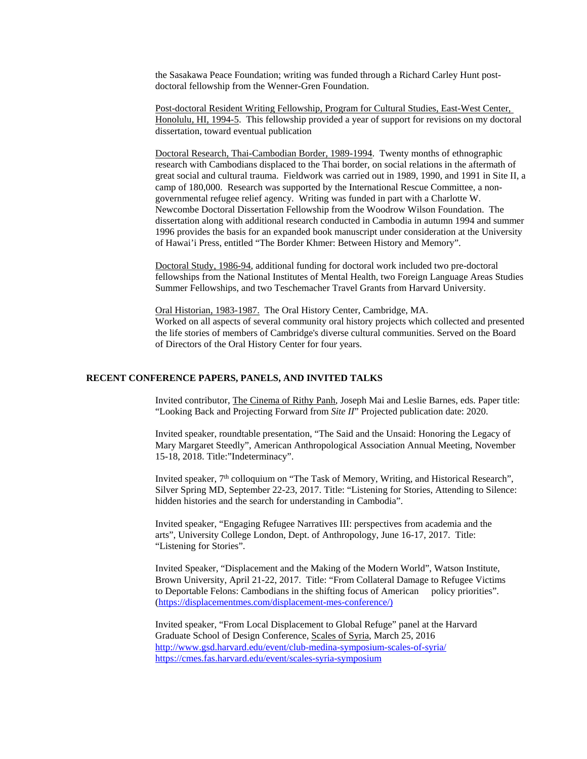the Sasakawa Peace Foundation; writing was funded through a Richard Carley Hunt postdoctoral fellowship from the Wenner-Gren Foundation.

Post-doctoral Resident Writing Fellowship, Program for Cultural Studies, East-West Center, Honolulu, HI, 1994-5. This fellowship provided a year of support for revisions on my doctoral dissertation, toward eventual publication

Doctoral Research, Thai-Cambodian Border, 1989-1994. Twenty months of ethnographic research with Cambodians displaced to the Thai border, on social relations in the aftermath of great social and cultural trauma. Fieldwork was carried out in 1989, 1990, and 1991 in Site II, a camp of 180,000. Research was supported by the International Rescue Committee, a nongovernmental refugee relief agency. Writing was funded in part with a Charlotte W. Newcombe Doctoral Dissertation Fellowship from the Woodrow Wilson Foundation. The dissertation along with additional research conducted in Cambodia in autumn 1994 and summer 1996 provides the basis for an expanded book manuscript under consideration at the University of Hawai'i Press, entitled "The Border Khmer: Between History and Memory".

Doctoral Study, 1986-94, additional funding for doctoral work included two pre-doctoral fellowships from the National Institutes of Mental Health, two Foreign Language Areas Studies Summer Fellowships, and two Teschemacher Travel Grants from Harvard University.

Oral Historian, 1983-1987. The Oral History Center, Cambridge, MA. Worked on all aspects of several community oral history projects which collected and presented the life stories of members of Cambridge's diverse cultural communities. Served on the Board of Directors of the Oral History Center for four years.

#### **RECENT CONFERENCE PAPERS, PANELS, AND INVITED TALKS**

Invited contributor, The Cinema of Rithy Panh, Joseph Mai and Leslie Barnes, eds. Paper title: "Looking Back and Projecting Forward from *Site II*" Projected publication date: 2020.

Invited speaker, roundtable presentation, "The Said and the Unsaid: Honoring the Legacy of Mary Margaret Steedly", American Anthropological Association Annual Meeting, November 15-18, 2018. Title:"Indeterminacy".

Invited speaker, 7<sup>th</sup> colloquium on "The Task of Memory, Writing, and Historical Research", Silver Spring MD, September 22-23, 2017. Title: "Listening for Stories, Attending to Silence: hidden histories and the search for understanding in Cambodia".

Invited speaker, "Engaging Refugee Narratives III: perspectives from academia and the arts", University College London, Dept. of Anthropology, June 16-17, 2017. Title: "Listening for Stories".

Invited Speaker, "Displacement and the Making of the Modern World", Watson Institute, Brown University, April 21-22, 2017. Title: "From Collateral Damage to Refugee Victims to Deportable Felons: Cambodians in the shifting focus of American policy priorities". [\(https://displacementmes.com/displacement-mes-conference/\)](https://displacementmes.com/displacement-mes-conference/))

Invited speaker, "From Local Displacement to Global Refuge" panel at the Harvard Graduate School of Design Conference, Scales of Syria, March 25, 2016 <http://www.gsd.harvard.edu/event/club-medina-symposium-scales-of-syria/> <https://cmes.fas.harvard.edu/event/scales-syria-symposium>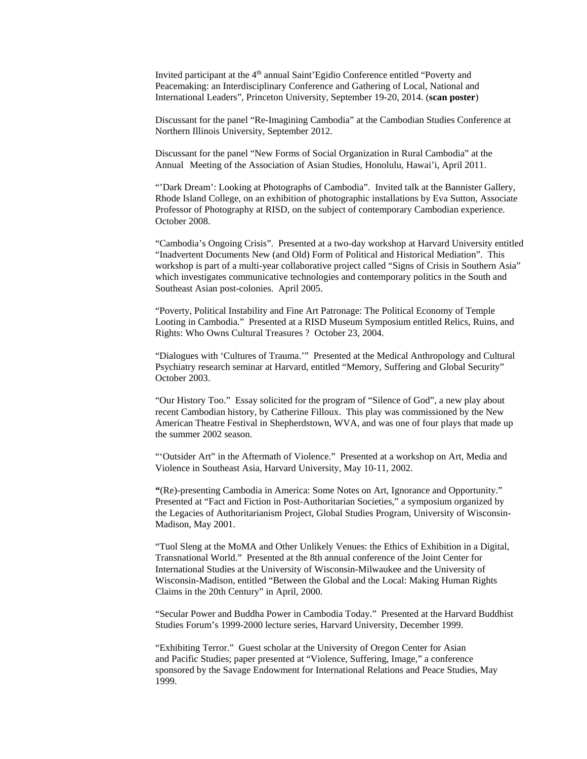Invited participant at the 4<sup>th</sup> annual Saint'Egidio Conference entitled "Poverty and Peacemaking: an Interdisciplinary Conference and Gathering of Local, National and International Leaders", Princeton University, September 19-20, 2014. (**scan poster**)

Discussant for the panel "Re-Imagining Cambodia" at the Cambodian Studies Conference at Northern Illinois University, September 2012.

Discussant for the panel "New Forms of Social Organization in Rural Cambodia" at the Annual Meeting of the Association of Asian Studies, Honolulu, Hawai'i, April 2011.

"'Dark Dream': Looking at Photographs of Cambodia". Invited talk at the Bannister Gallery, Rhode Island College, on an exhibition of photographic installations by Eva Sutton, Associate Professor of Photography at RISD, on the subject of contemporary Cambodian experience. October 2008.

"Cambodia's Ongoing Crisis". Presented at a two-day workshop at Harvard University entitled "Inadvertent Documents New (and Old) Form of Political and Historical Mediation". This workshop is part of a multi-year collaborative project called "Signs of Crisis in Southern Asia" which investigates communicative technologies and contemporary politics in the South and Southeast Asian post-colonies. April 2005.

"Poverty, Political Instability and Fine Art Patronage: The Political Economy of Temple Looting in Cambodia." Presented at a RISD Museum Symposium entitled Relics, Ruins, and Rights: Who Owns Cultural Treasures ? October 23, 2004.

"Dialogues with 'Cultures of Trauma.'" Presented at the Medical Anthropology and Cultural Psychiatry research seminar at Harvard, entitled "Memory, Suffering and Global Security" October 2003.

"Our History Too." Essay solicited for the program of "Silence of God", a new play about recent Cambodian history, by Catherine Filloux. This play was commissioned by the New American Theatre Festival in Shepherdstown, WVA, and was one of four plays that made up the summer 2002 season.

"'Outsider Art" in the Aftermath of Violence." Presented at a workshop on Art, Media and Violence in Southeast Asia, Harvard University, May 10-11, 2002.

**"**(Re)-presenting Cambodia in America: Some Notes on Art, Ignorance and Opportunity." Presented at "Fact and Fiction in Post-Authoritarian Societies," a symposium organized by the Legacies of Authoritarianism Project, Global Studies Program, University of Wisconsin-Madison, May 2001.

"Tuol Sleng at the MoMA and Other Unlikely Venues: the Ethics of Exhibition in a Digital, Transnational World." Presented at the 8th annual conference of the Joint Center for International Studies at the University of Wisconsin-Milwaukee and the University of Wisconsin-Madison, entitled "Between the Global and the Local: Making Human Rights Claims in the 20th Century" in April, 2000.

"Secular Power and Buddha Power in Cambodia Today." Presented at the Harvard Buddhist Studies Forum's 1999-2000 lecture series, Harvard University, December 1999.

"Exhibiting Terror." Guest scholar at the University of Oregon Center for Asian and Pacific Studies; paper presented at "Violence, Suffering, Image," a conference sponsored by the Savage Endowment for International Relations and Peace Studies, May 1999.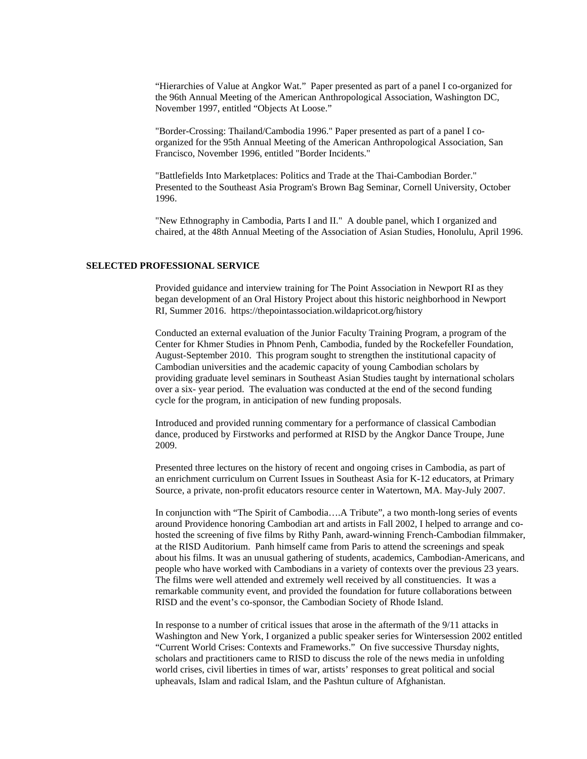"Hierarchies of Value at Angkor Wat." Paper presented as part of a panel I co-organized for the 96th Annual Meeting of the American Anthropological Association, Washington DC, November 1997, entitled "Objects At Loose."

"Border-Crossing: Thailand/Cambodia 1996." Paper presented as part of a panel I coorganized for the 95th Annual Meeting of the American Anthropological Association, San Francisco, November 1996, entitled "Border Incidents."

"Battlefields Into Marketplaces: Politics and Trade at the Thai-Cambodian Border." Presented to the Southeast Asia Program's Brown Bag Seminar, Cornell University, October 1996.

"New Ethnography in Cambodia, Parts I and II." A double panel, which I organized and chaired, at the 48th Annual Meeting of the Association of Asian Studies, Honolulu, April 1996.

#### **SELECTED PROFESSIONAL SERVICE**

Provided guidance and interview training for The Point Association in Newport RI as they began development of an Oral History Project about this historic neighborhood in Newport RI, Summer 2016. https://thepointassociation.wildapricot.org/history

Conducted an external evaluation of the Junior Faculty Training Program, a program of the Center for Khmer Studies in Phnom Penh, Cambodia, funded by the Rockefeller Foundation, August-September 2010. This program sought to strengthen the institutional capacity of Cambodian universities and the academic capacity of young Cambodian scholars by providing graduate level seminars in Southeast Asian Studies taught by international scholars over a six- year period. The evaluation was conducted at the end of the second funding cycle for the program, in anticipation of new funding proposals.

Introduced and provided running commentary for a performance of classical Cambodian dance, produced by Firstworks and performed at RISD by the Angkor Dance Troupe, June 2009.

Presented three lectures on the history of recent and ongoing crises in Cambodia, as part of an enrichment curriculum on Current Issues in Southeast Asia for K-12 educators, at Primary Source, a private, non-profit educators resource center in Watertown, MA. May-July 2007.

In conjunction with "The Spirit of Cambodia….A Tribute", a two month-long series of events around Providence honoring Cambodian art and artists in Fall 2002, I helped to arrange and cohosted the screening of five films by Rithy Panh, award-winning French-Cambodian filmmaker, at the RISD Auditorium. Panh himself came from Paris to attend the screenings and speak about his films. It was an unusual gathering of students, academics, Cambodian-Americans, and people who have worked with Cambodians in a variety of contexts over the previous 23 years. The films were well attended and extremely well received by all constituencies. It was a remarkable community event, and provided the foundation for future collaborations between RISD and the event's co-sponsor, the Cambodian Society of Rhode Island.

In response to a number of critical issues that arose in the aftermath of the 9/11 attacks in Washington and New York, I organized a public speaker series for Wintersession 2002 entitled "Current World Crises: Contexts and Frameworks." On five successive Thursday nights, scholars and practitioners came to RISD to discuss the role of the news media in unfolding world crises, civil liberties in times of war, artists' responses to great political and social upheavals, Islam and radical Islam, and the Pashtun culture of Afghanistan.